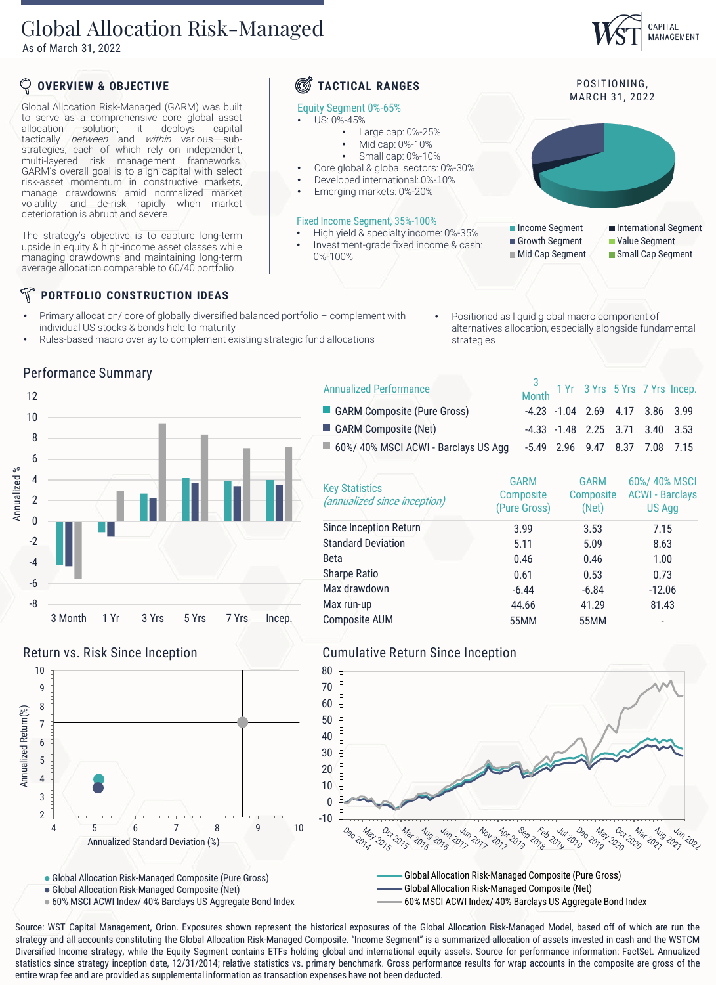## Global Allocation Risk-Managed

As of March 31, 2022



### **PORTFOLIO CONSTRUCTION IDEAS**

- Primary allocation/ core of globally diversified balanced portfolio complement with individual US stocks & bonds held to maturity
	- Rules-based macro overlay to complement existing strategic fund allocations
- Positioned as liquid global macro component of alternatives allocation, especially alongside fundamental strategies

### Performance Summary





3

CAPITAL MANAGEMENT

| <b>Key Statistics</b><br>(annualized since inception) | <b>GARM</b><br>Composite<br>(Pure Gross) | <b>GARM</b><br>Composite<br>(Net) | 60%/40% MSCI<br><b>ACWI - Barclays</b><br><b>US Agg</b> |
|-------------------------------------------------------|------------------------------------------|-----------------------------------|---------------------------------------------------------|
| Since Inception Return                                | 3.99                                     | 3.53                              | 7.15                                                    |
| <b>Standard Deviation</b>                             | 5.11                                     | 5.09                              | 8.63                                                    |
| <b>Beta</b>                                           | 0.46                                     | 0.46                              | 1.00                                                    |
| <b>Sharpe Ratio</b>                                   | 0.61                                     | 0.53                              | 0.73                                                    |
| Max drawdown                                          | $-6.44$                                  | $-6.84$                           | $-12.06$                                                |
| Max run-up                                            | 44.66                                    | 41.29                             | 81.43                                                   |
| <b>Composite AUM</b>                                  | 55MM                                     | 55MM                              | ٠                                                       |

### Return vs. Risk Since Inception Cumulative Return Since Inception 10 9 8 Annualized Return(%) Annualized Return(%) 7 6 5 4 3





Global Allocation Risk-Managed Composite (Pure Gross)

Annualized Standard Deviation (%)

2

60% MSCI ACWI Index/ 40% Barclays US Aggregate Bond Index

4 5 6 7 8 9 10

Global Allocation Risk-Managed Composite (Net) 60% MSCI ACWI Index/ 40% Barclays US Aggregate Bond Index

Source: WST Capital Management, Orion. Exposures shown represent the historical exposures of the Global Allocation Risk-Managed Model, based off of which are run the strategy and all accounts constituting the Global Allocation Risk-Managed Composite. "Income Segment" is a summarized allocation of assets invested in cash and the WSTCM Diversified Income strategy, while the Equity Segment contains ETFs holding global and international equity assets. Source for performance information: FactSet. Annualized statistics since strategy inception date, 12/31/2014; relative statistics vs. primary benchmark. Gross performance results for wrap accounts in the composite are gross of the entire wrap fee and are provided as supplemental information as transaction expenses have not been deducted.

Global Allocation Risk-Managed Composite (Net)